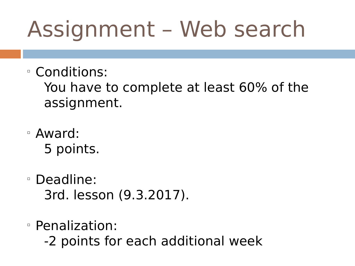# Assignment – Web search

Conditions:

You have to complete at least 60% of the assignment.

- Award: 5 points.
- Deadline: 3rd. lesson (9.3.2017).
- Penalization:
	- -2 points for each additional week